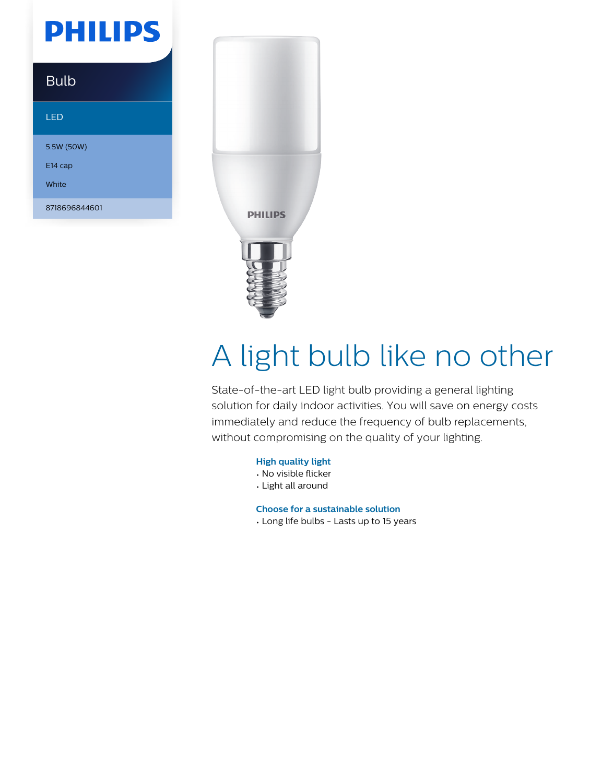# **PHILIPS**

### Bulb

#### LED

5.5W (50W) E14 cap

White

8718696844601



# A light bulb like no other

State-of-the-art LED light bulb providing a general lighting solution for daily indoor activities. You will save on energy costs immediately and reduce the frequency of bulb replacements, without compromising on the quality of your lighting.

#### **High quality light**

- No visible flicker
- Light all around

**Choose for a sustainable solution**

• Long life bulbs - Lasts up to 15 years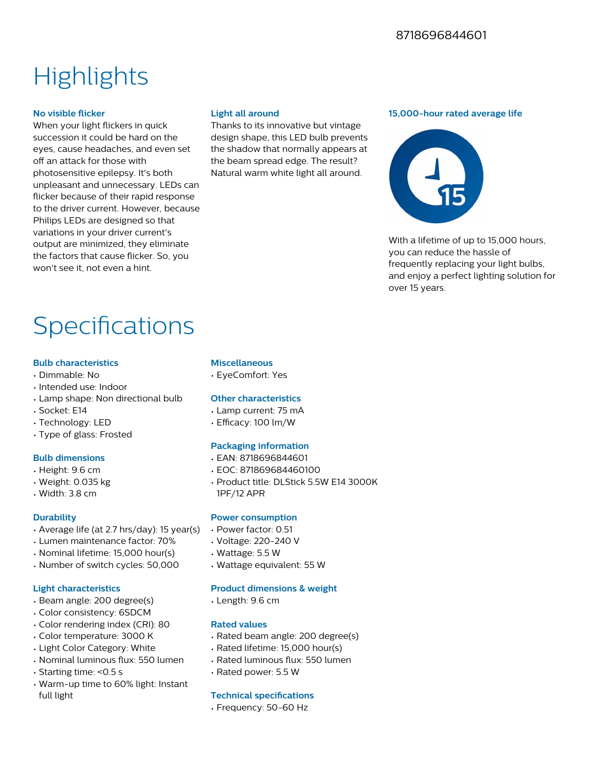## **Highlights**

#### **No visible flicker**

When your light flickers in quick succession it could be hard on the eyes, cause headaches, and even set off an attack for those with photosensitive epilepsy. It's both unpleasant and unnecessary. LEDs can flicker because of their rapid response to the driver current. However, because Philips LEDs are designed so that variations in your driver current's output are minimized, they eliminate the factors that cause flicker. So, you won't see it, not even a hint.

#### **Light all around**

Thanks to its innovative but vintage design shape, this LED bulb prevents the shadow that normally appears at the beam spread edge. The result? Natural warm white light all around.

#### **15,000-hour rated average life**



With a lifetime of up to 15,000 hours. you can reduce the hassle of frequently replacing your light bulbs, and enjoy a perfect lighting solution for over 15 years.

## Specifications

#### **Bulb characteristics**

- Dimmable: No
- Intended use: Indoor
- Lamp shape: Non directional bulb
- Socket: E14
- Technology: LED
- Type of glass: Frosted

#### **Bulb dimensions**

- Height: 9.6 cm
- Weight: 0.035 kg
- Width: 3.8 cm

#### **Durability**

- Average life (at 2.7 hrs/day): 15 year(s)
- Lumen maintenance factor: 70%
- Nominal lifetime: 15,000 hour(s)
- Number of switch cycles: 50,000

#### **Light characteristics**

- Beam angle: 200 degree(s)
- Color consistency: 6SDCM
- Color rendering index (CRI): 80
- Color temperature: 3000 K
- Light Color Category: White
- Nominal luminous flux: 550 lumen
- Starting time: <0.5 s
- Warm-up time to 60% light: Instant full light

#### **Miscellaneous**

• EyeComfort: Yes

#### **Other characteristics**

- Lamp current: 75 mA
- $\cdot$  Efficacy: 100 lm/W

#### **Packaging information**

- EAN: 8718696844601
- EOC: 871869684460100
- Product title: DLStick 5.5W E14 3000K 1PF/12 APR

#### **Power consumption**

- Power factor: 0.51
- Voltage: 220-240 V
- Wattage: 5.5 W
- Wattage equivalent: 55 W

#### **Product dimensions & weight**

• Length: 9.6 cm

#### **Rated values**

- Rated beam angle: 200 degree(s)
- Rated lifetime: 15,000 hour(s)
- Rated luminous flux: 550 lumen
- Rated power: 5.5 W

#### **Technical specifications**

• Frequency: 50-60 Hz